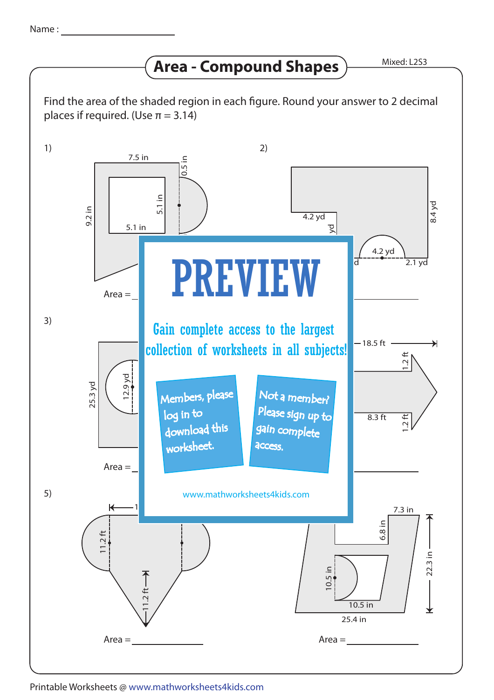## **Area - Compound Shapes**

Mixed: L2S3

Find the area of the shaded region in each figure. Round your answer to 2 decimal places if required. (Use  $\pi = 3.14$ )



## Printable Worksheets @ www.mathworksheets4kids.com